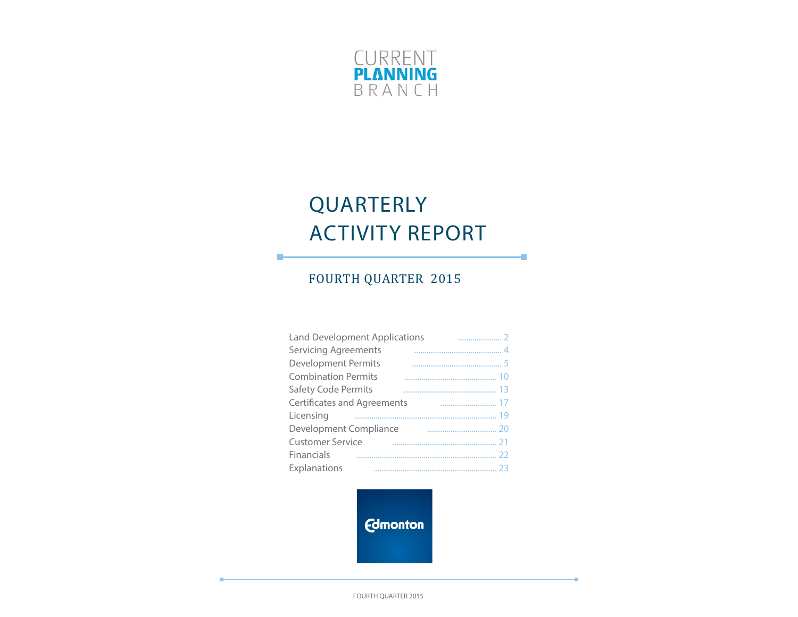

# QUARTERLY ACTIVITY REPORT

÷

÷

## FOURTH QUARTER 2015

п

| <b>Land Development Applications</b> |  |
|--------------------------------------|--|
| <b>Servicing Agreements</b>          |  |
| <b>Development Permits</b>           |  |
| <b>Combination Permits</b>           |  |
| Safety Code Permits                  |  |
| <b>Certificates and Agreements</b>   |  |
| Licensing                            |  |
| Development Compliance               |  |
| <b>Customer Service</b>              |  |
| Financials                           |  |
| Explanations                         |  |

**Edmonton** 

FOURTH QUARTER 2015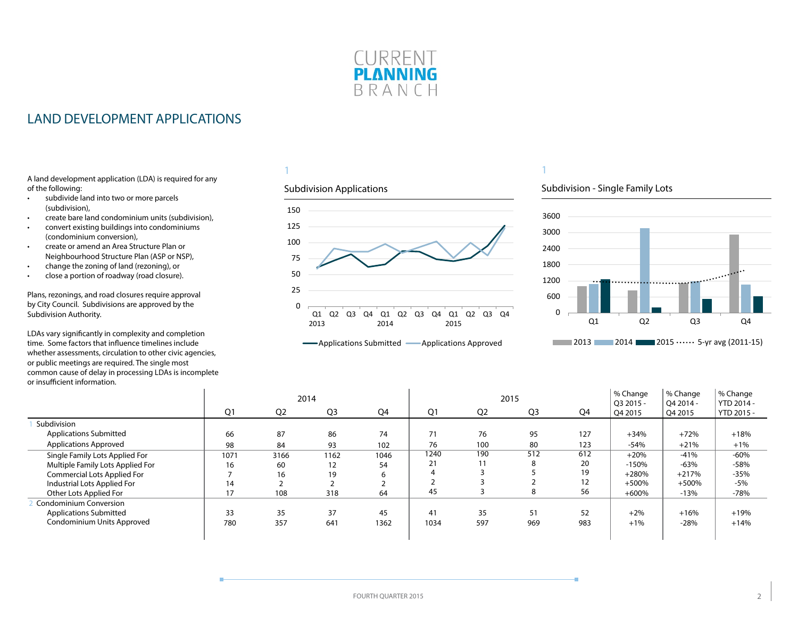

### <span id="page-1-0"></span>LAND DEVELOPMENT APPLICATIONS

A land development application (LDA) is required for any of the following:

- subdivide land into two or more parcels (subdivision),
- create bare land condominium units (subdivision),
- convert existing buildings into condominiums (condominium conversion),
- create or amend an Area Structure Plan or Neighbourhood Structure Plan (ASP or NSP),
- change the zoning of land (rezoning), or
- close a portion of roadway (road closure).

Plans, rezonings, and road closures require approval by City Council. Subdivisions are approved by the Subdivision Authority.

LDAs vary significantly in complexity and completion time. Some factors that influence timelines include whether assessments, circulation to other civic agencies, or public meetings are required. The single most common cause of delay in processing LDAs is incomplete or insufficient information.

#### 1

#### Subdivision Applications







|                                  |      |                | 2014           |      |      |                | 2015 |     | % Change<br>Q3 2015 - | % Change<br>O4 2014 - | % Change<br>YTD 2014 - |
|----------------------------------|------|----------------|----------------|------|------|----------------|------|-----|-----------------------|-----------------------|------------------------|
|                                  | Q1   | Q <sub>2</sub> | Q <sub>3</sub> | Q4   | Q1   | Q <sub>2</sub> | Q3   | Q4  | Q4 2015               | Q4 2015               | YTD 2015 -             |
| Subdivision                      |      |                |                |      |      |                |      |     |                       |                       |                        |
| <b>Applications Submitted</b>    | 66   | 87             | 86             | 74   |      | 76             | 95   | 127 | $+34%$                | $+72%$                | $+18%$                 |
| <b>Applications Approved</b>     | 98   | 84             | 93             | 102  | 76   | 100            | 80   | 123 | $-54%$                | $+21%$                | $+1%$                  |
| Single Family Lots Applied For   | 1071 | 3166           | 1162           | 1046 | 1240 | 190            | 512  | 612 | $+20%$                | $-41%$                | $-60%$                 |
| Multiple Family Lots Applied For | 16   | 60             | 12             | 54   | 21   |                | 8    | 20  | $-150%$               | $-63%$                | $-58%$                 |
| Commercial Lots Applied For      |      | 16             | 19             |      |      |                |      | 19  | $+280%$               | $+217%$               | $-35%$                 |
| Industrial Lots Applied For      | 14   |                |                |      |      |                |      | 12  | $+500%$               | $+500%$               | $-5%$                  |
| Other Lots Applied For           | 17   | 108            | 318            | 64   | 45   |                | 8    | 56  | $+600%$               | $-13%$                | $-78%$                 |
| Condominium Conversion           |      |                |                |      |      |                |      |     |                       |                       |                        |
| <b>Applications Submitted</b>    | 33   | 35             | 37             | 45   | 41   | 35             | 51   | 52  | $+2%$                 | $+16%$                | $+19%$                 |
| Condominium Units Approved       | 780  | 357            | 641            | 1362 | 1034 | 597            | 969  | 983 | $+1%$                 | $-28%$                | $+14%$                 |
|                                  |      |                |                |      |      |                |      |     |                       |                       |                        |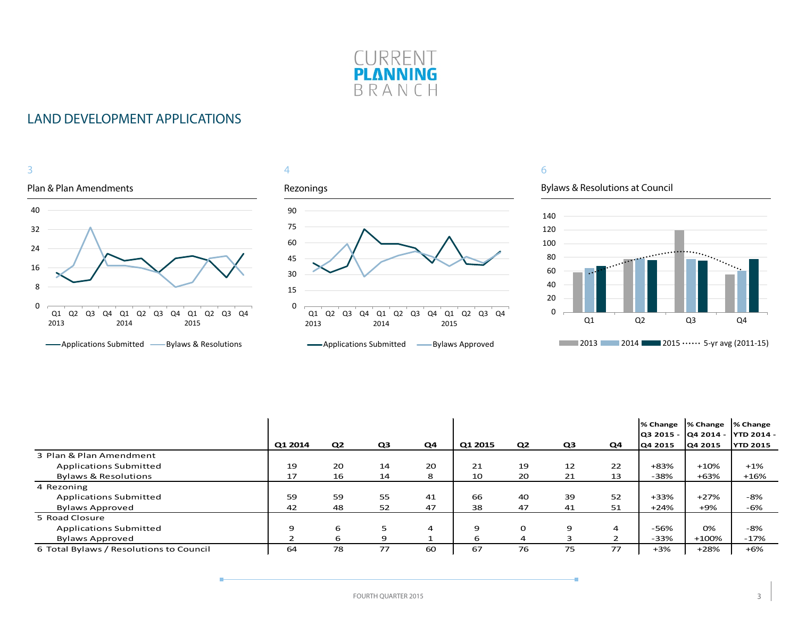

### LAND DEVELOPMENT APPLICATIONS



|                                         |         |                |                |                |         |                |    |    | % Change | % Change<br> Q3 2015 -  Q4 2014 -  YTD 2014 - | % Change        |
|-----------------------------------------|---------|----------------|----------------|----------------|---------|----------------|----|----|----------|-----------------------------------------------|-----------------|
|                                         | Q1 2014 | Q <sub>2</sub> | Q <sub>3</sub> | Q <sub>4</sub> | Q1 2015 | Q <sub>2</sub> | Q3 | Q4 | Q4 2015  | Q4 2015                                       | <b>YTD 2015</b> |
| 3 Plan & Plan Amendment                 |         |                |                |                |         |                |    |    |          |                                               |                 |
| <b>Applications Submitted</b>           | 19      | 20             | 14             | 20             | 21      | 19             | 12 | 22 | +83%     | $+10%$                                        | $+1\%$          |
| <b>Bylaws &amp; Resolutions</b>         | 17      | 16             | 14             | 8              | 10      | 20             | 21 | 13 | -38%     | +63%                                          | $+16%$          |
| 4 Rezoning                              |         |                |                |                |         |                |    |    |          |                                               |                 |
| <b>Applications Submitted</b>           | 59      | 59             | 55             | 41             | 66      | 40             | 39 | 52 | $+33%$   | $+27%$                                        | $-8%$           |
| <b>Bylaws Approved</b>                  | 42      | 48             | 52             | 47             | 38      | 47             | 41 | 51 | $+24%$   | +9%                                           | -6%             |
| 5 Road Closure                          |         |                |                |                |         |                |    |    |          |                                               |                 |
| <b>Applications Submitted</b>           | 9       | 6              |                | 4              | 9       | $\Omega$       | 9  | 4  | -56%     | 0%                                            | -8%             |
| <b>Bylaws Approved</b>                  |         | 6              | q              |                | 6       | 4              | 3  | 2  | $-33%$   | $+100%$                                       | $-17%$          |
| 6 Total Bylaws / Resolutions to Council | 64      | 78             | 77             | 60             | 67      | 76             | 75 | 77 | $+3%$    | $+28%$                                        | $+6%$           |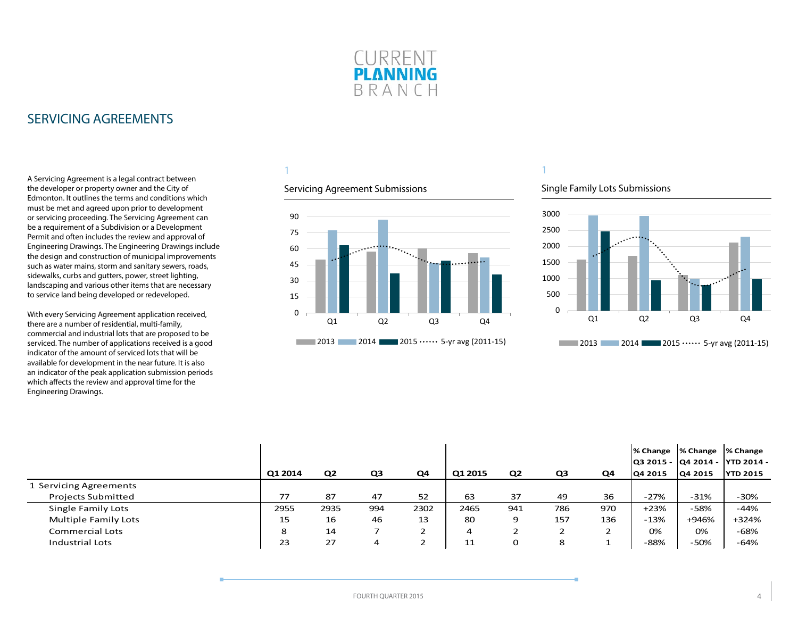

### <span id="page-3-0"></span>SERVICING AGREEMENTS

A Servicing Agreement is a legal contract between the developer or property owner and the City of Edmonton. It outlines the terms and conditions which must be met and agreed upon prior to development or servicing proceeding. The Servicing Agreement can be a requirement of a Subdivision or a Development Permit and often includes the review and approval of Engineering Drawings. The Engineering Drawings include the design and construction of municipal improvements such as water mains, storm and sanitary sewers, roads, sidewalks, curbs and gutters, power, street lighting, landscaping and various other items that are necessary to service land being developed or redeveloped.

With every Servicing Agreement application received, there are a number of residential, multi-family, commercial and industrial lots that are proposed to be serviced. The number of applications received is a good indicator of the amount of serviced lots that will be available for development in the near future. It is also an indicator of the peak application submission periods which affects the review and approval time for the Engineering Drawings.

### 1

#### Servicing Agreement Submissions



#### Single Family Lots Submissions



|                             |         |                |     |      |         |                |     |     | % Change  % Change  % Change     |         |                 |
|-----------------------------|---------|----------------|-----|------|---------|----------------|-----|-----|----------------------------------|---------|-----------------|
|                             |         |                |     |      |         |                |     |     | Q3 2015 -  Q4 2014 -  YTD 2014 - |         |                 |
|                             | Q1 2014 | Q <sub>2</sub> | Q3  | Q4   | Q1 2015 | Q <sub>2</sub> | Q3  | Q4  | Q4 2015                          | Q4 2015 | <b>YTD 2015</b> |
| 1 Servicing Agreements      |         |                |     |      |         |                |     |     |                                  |         |                 |
| <b>Projects Submitted</b>   | 77      | 87             | 47  | 52   | 63      | 37             | 49  | 36  | $-27%$                           | -31%    | $-30%$          |
| Single Family Lots          | 2955    | 2935           | 994 | 2302 | 2465    | 941            | 786 | 970 | $+23%$                           | $-58%$  | $-44%$          |
| <b>Multiple Family Lots</b> | 15      | 16             | 46  | 13   | 80      | 9              | 157 | 136 | $-13%$                           | +946%   | +324%           |
| <b>Commercial Lots</b>      | 8       | 14             |     | ے    | 4       | ∸              | ∠   |     | 0%                               | 0%      | -68%            |
| <b>Industrial Lots</b>      | 23      | 27             | 4   | ∠    | 11      | 0              | 8   |     | -88%                             | -50%    | $-64%$          |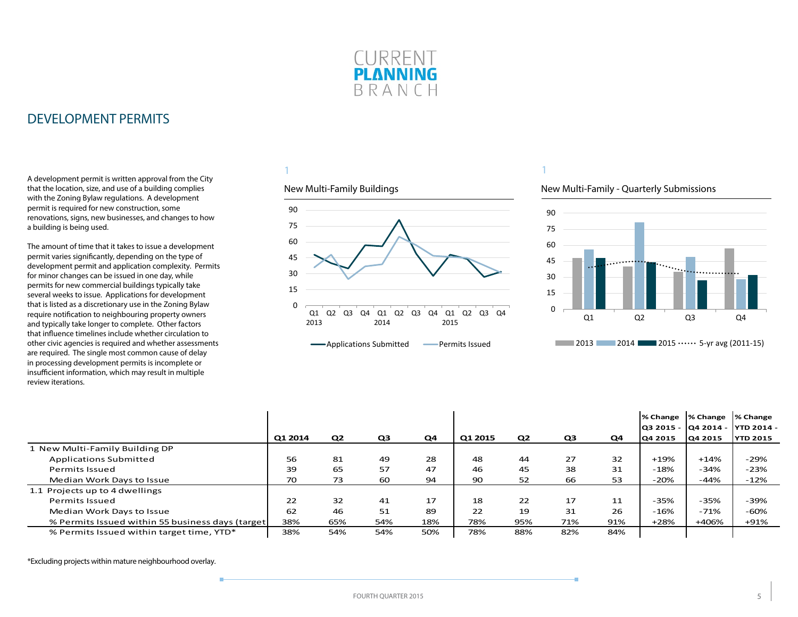

<span id="page-4-0"></span>A development permit is written approval from the City that the location, size, and use of a building complies with the Zoning Bylaw regulations. A development permit is required for new construction, some renovations, signs, new businesses, and changes to how a building is being used.

The amount of time that it takes to issue a development permit varies significantly, depending on the type of development permit and application complexity. Permits for minor changes can be issued in one day, while permits for new commercial buildings typically take several weeks to issue. Applications for development that is listed as a discretionary use in the Zoning Bylaw require notification to neighbouring property owners and typically take longer to complete. Other factors that influence timelines include whether circulation to other civic agencies is required and whether assessments are required. The single most common cause of delay in processing development permits is incomplete or insufficient information, which may result in multiple review iterations.

#### 1

#### New Multi-Family Buildings



## New Multi-Family - Quarterly Submissions

1



|                                                   |         |                |                |     |         |                |                |     | % Change  % Change |                | <b>1% Change</b><br>lQ3 2015 - lQ4 2014 - lYTD 2014 - |
|---------------------------------------------------|---------|----------------|----------------|-----|---------|----------------|----------------|-----|--------------------|----------------|-------------------------------------------------------|
|                                                   | Q1 2014 | Q <sub>2</sub> | Q <sub>3</sub> | Q4  | Q1 2015 | Q <sub>2</sub> | Q <sub>3</sub> | Q4  | <b>Q4 2015</b>     | <b>Q4 2015</b> | <b>YTD 2015</b>                                       |
| New Multi-Family Building DP                      |         |                |                |     |         |                |                |     |                    |                |                                                       |
| <b>Applications Submitted</b>                     | 56      | 81             | 49             | 28  | 48      | 44             | 27             | 32  | $+19%$             | $+14%$         | $-29%$                                                |
| <b>Permits Issued</b>                             | 39      | 65             | 57             | 47  | 46      | 45             | 38             | 31  | $-18%$             | $-34%$         | $-23%$                                                |
| Median Work Days to Issue                         | 70      | 73             | 60             | 94  | 90      | 52             | 66             | 53  | -20%               | -44%           | $-12%$                                                |
| 1.1 Projects up to 4 dwellings                    |         |                |                |     |         |                |                |     |                    |                |                                                       |
| Permits Issued                                    | 22      | 32             | 41             | 17  | 18      | 22             | 17             | 11  | $-35%$             | -35%           | -39%                                                  |
| Median Work Days to Issue                         | 62      | 46             | 51             | 89  | 22      | 19             | 31             | 26  | $-16%$             | $-71%$         | $-60%$                                                |
| % Permits Issued within 55 business days (target) | 38%     | 65%            | 54%            | 18% | 78%     | 95%            | 71%            | 91% | $+28%$             | +406%          | $+91%$                                                |
| % Permits Issued within target time, YTD*         | 38%     | 54%            | 54%            | 50% | 78%     | 88%            | 82%            | 84% |                    |                |                                                       |

\*Excluding projects within mature neighbourhood overlay.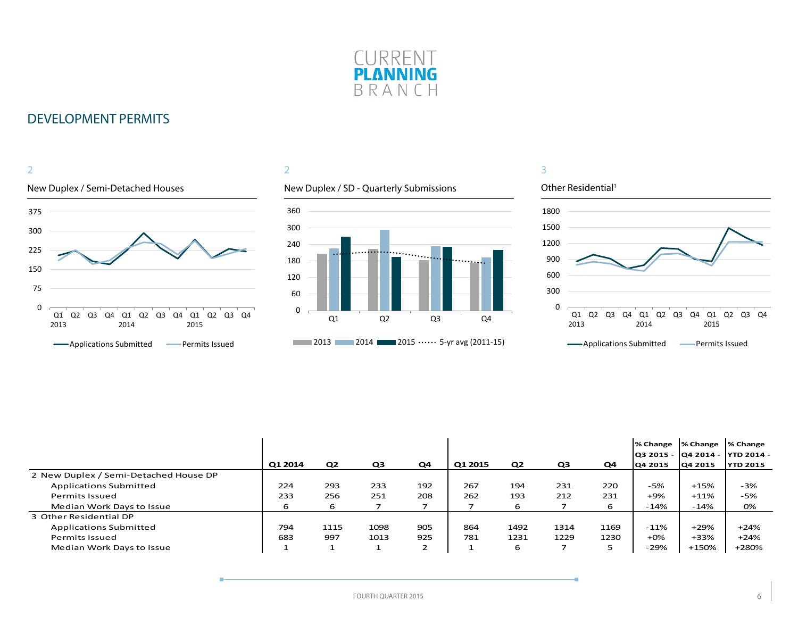

#### New Duplex / Semi-Detached Houses 2 0 75 150 225 300 375 Q1 Q2 Q3 Q4 Q1 2013 2014 Q2 Q3 Q4 Q1 2015 Q2 Q3 Q4 **-**Applications Submitted **-** Permits Issued

#### 2

#### New Duplex / SD - Quarterly Submissions



#### Other Residential<sup>1</sup> 0 300 600 900 1200 1500 1800 Q1 Q2 Q3 Q4 Q1 2013 2014 Q2 Q3 Q4 Q1 Q2 Q3 Q4 2015 **-**Applications Submitted **-** Permits Issued

|                                       |         |                |                |        |         |                |                |      | % Change<br>  03 2015 -   04 2014 - | <b>1% Change</b> | % Change<br>IYTD 2014 - |
|---------------------------------------|---------|----------------|----------------|--------|---------|----------------|----------------|------|-------------------------------------|------------------|-------------------------|
|                                       | Q1 2014 | Q <sub>2</sub> | Q <sub>3</sub> | Q4     | Q1 2015 | Q <sub>2</sub> | Q <sub>3</sub> | Q4   | Q4 2015                             | Q4 2015          | <b>YTD 2015</b>         |
| 2 New Duplex / Semi-Detached House DP |         |                |                |        |         |                |                |      |                                     |                  |                         |
| <b>Applications Submitted</b>         | 224     | 293            | 233            | 192    | 267     | 194            | 231            | 220  | $-5%$                               | +15%             | $-3%$                   |
| Permits Issued                        | 233     | 256            | 251            | 208    | 262     | 193            | 212            | 231  | +9%                                 | $+11%$           | -5%                     |
| Median Work Days to Issue             | 6       | 6              |                |        |         | 6              |                | 6    | $-14%$                              | $-14%$           | 0%                      |
| 3 Other Residential DP                |         |                |                |        |         |                |                |      |                                     |                  |                         |
| Applications Submitted                | 794     | 1115           | 1098           | 905    | 864     | 1492           | 1314           | 1169 | -11%                                | $+29%$           | $+24%$                  |
| Permits Issued                        | 683     | 997            | 1013           | 925    | 781     | 1231           | 1229           | 1230 | $+0\%$                              | +33%             | $+24%$                  |
| Median Work Days to Issue             |         |                |                | ∍<br>∠ |         | 6              |                | 5    | -29%                                | +150%            | +280%                   |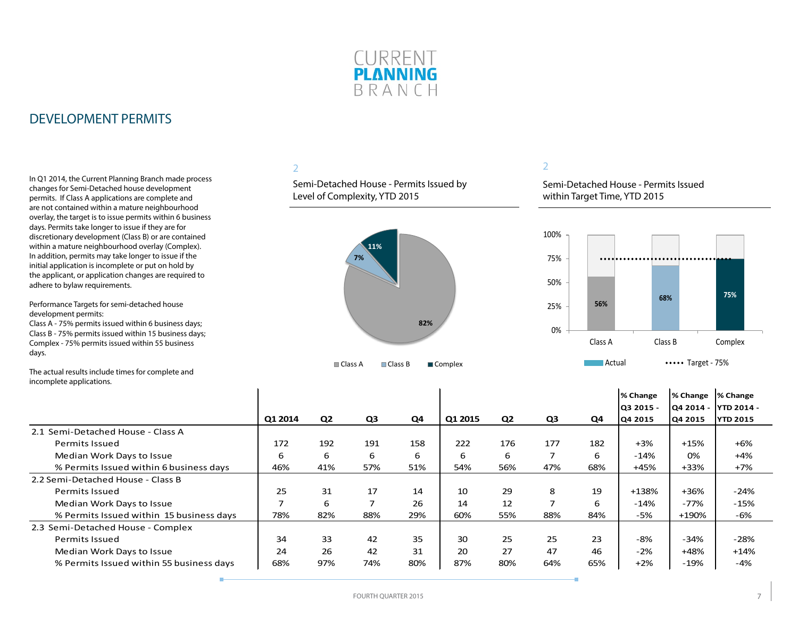

In Q1 2014, the Current Planning Branch made process changes for Semi-Detached house development permits. If Class A applications are complete and are not contained within a mature neighbourhood overlay, the target is to issue permits within 6 business days. Permits take longer to issue if they are for discretionary development (Class B) or are contained within a mature neighbourhood overlay (Complex). In addition, permits may take longer to issue if the initial application is incomplete or put on hold by the applicant, or application changes are required to adhere to bylaw requirements.

Performance Targets for semi-detached house development permits:

Class A - 75% permits issued within 6 business days; Class B - 75% permits issued within 15 business days; Complex - 75% permits issued within 55 business days.

### 2

Semi-Detached House - Permits Issued by Level of Complexity, YTD 2015



#### 2

Semi-Detached House - Permits Issued within Target Time, YTD 2015



The actual results include times for complete and incomplete applications.

|                                          |         |                |     |     |         |                |                |     | % Change  | <b>1% Change</b> | % Change             |
|------------------------------------------|---------|----------------|-----|-----|---------|----------------|----------------|-----|-----------|------------------|----------------------|
|                                          |         |                |     |     |         |                |                |     | O3 2015 - |                  | Q4 2014 - YTD 2014 - |
|                                          | Q1 2014 | Q <sub>2</sub> | Q3  | Q4  | Q1 2015 | Q <sub>2</sub> | Q <sub>3</sub> | Q4  | Q4 2015   | Q4 2015          | <b>YTD 2015</b>      |
| 2.1 Semi-Detached House - Class A        |         |                |     |     |         |                |                |     |           |                  |                      |
| <b>Permits Issued</b>                    | 172     | 192            | 191 | 158 | 222     | 176            | 177            | 182 | $+3%$     | $+15%$           | $+6%$                |
| Median Work Days to Issue                | 6       | 6              | 6   | 6   | 6       | 6              |                | 6   | $-14%$    | 0%               | $+4%$                |
| % Permits Issued within 6 business days  | 46%     | 41%            | 57% | 51% | 54%     | 56%            | 47%            | 68% | +45%      | $+33%$           | $+7%$                |
| 2.2 Semi-Detached House - Class B        |         |                |     |     |         |                |                |     |           |                  |                      |
| <b>Permits Issued</b>                    | 25      | 31             | 17  | 14  | 10      | 29             | 8              | 19  | +138%     | $+36%$           | $-24%$               |
| Median Work Days to Issue                |         | 6              | 7   | 26  | 14      | 12             | 7              | 6   | $-14%$    | $-77%$           | $-15%$               |
| % Permits Issued within 15 business days | 78%     | 82%            | 88% | 29% | 60%     | 55%            | 88%            | 84% | -5%       | +190%            | -6%                  |
| 2.3 Semi-Detached House - Complex        |         |                |     |     |         |                |                |     |           |                  |                      |
| <b>Permits Issued</b>                    | 34      | 33             | 42  | 35  | 30      | 25             | 25             | 23  | $-8%$     | $-34%$           | $-28%$               |
| Median Work Days to Issue                | 24      | 26             | 42  | 31  | 20      | 27             | 47             | 46  | $-2%$     | $+48%$           | $+14%$               |
| % Permits Issued within 55 business days | 68%     | 97%            | 74% | 80% | 87%     | 80%            | 64%            | 65% | $+2%$     | $-19%$           | -4%                  |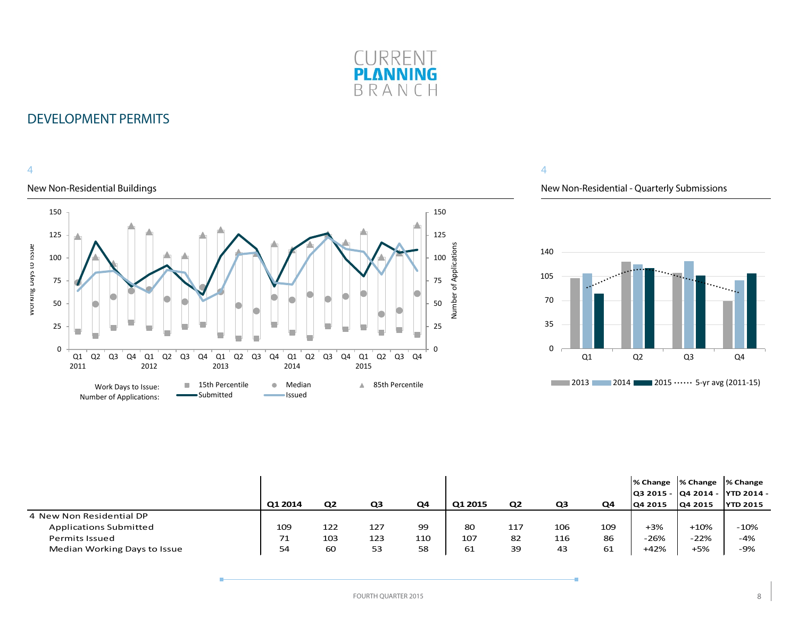

#### 4

#### New Non-Residential Buildings



#### 4

New Non-Residential - Quarterly Submissions



|                               |         |                |     |     |         |                |     |     |                | % Change  % Change  % Change | Q3 2015 -  Q4 2014 -  YTD 2014 - |
|-------------------------------|---------|----------------|-----|-----|---------|----------------|-----|-----|----------------|------------------------------|----------------------------------|
|                               | Q1 2014 | Q <sub>2</sub> | Q3  | Q4  | Q1 2015 | Q <sub>2</sub> | Q3  | Q4  | <b>Q4 2015</b> | Q4 2015                      | <b>YTD 2015</b>                  |
| 4 New Non Residential DP      |         |                |     |     |         |                |     |     |                |                              |                                  |
| <b>Applications Submitted</b> | 109     | 122            | 127 | 99  | 80      | 117            | 106 | 109 | +3%            | $+10%$                       | $-10%$                           |
| <b>Permits Issued</b>         | 71      | 103            | 123 | 110 | 107     | 82             | 116 | 86  | $-26%$         | $-22%$                       | $-4%$                            |
| Median Working Days to Issue  | 54      | 60             | 53  | 58  | 61      | 39             | 43  | 61  | $+42%$         | $+5%$                        | -9%                              |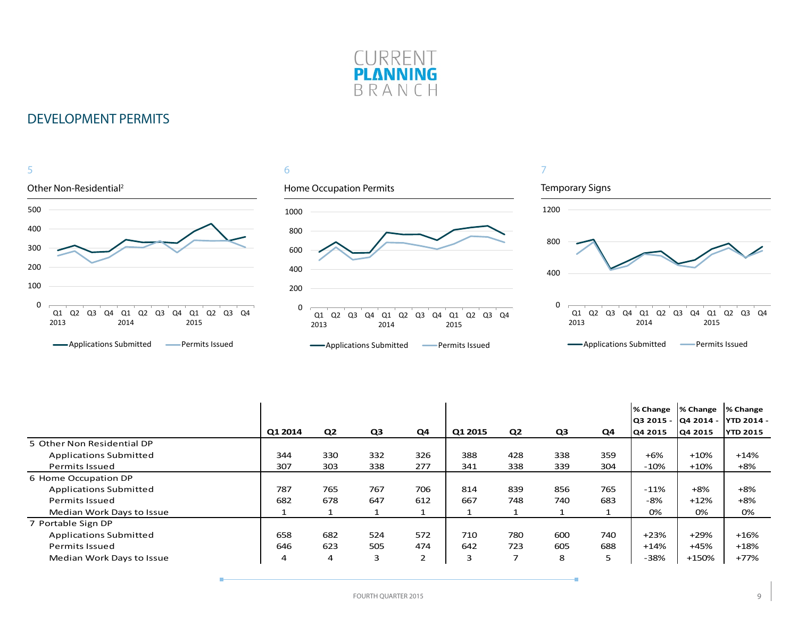



|                               |         |                |                |                |         |                          |     |     | I% Change<br>Q3 2015 - | % Change<br>lQ4 2014 - | % Change<br><b>YTD 2014 -</b> |
|-------------------------------|---------|----------------|----------------|----------------|---------|--------------------------|-----|-----|------------------------|------------------------|-------------------------------|
|                               | Q1 2014 | Q <sub>2</sub> | Q <sub>3</sub> | Q <sub>4</sub> | Q1 2015 | Q <sub>2</sub>           | Q3  | Q4  | Q4 2015                | Q4 2015                | <b>YTD 2015</b>               |
| 5 Other Non Residential DP    |         |                |                |                |         |                          |     |     |                        |                        |                               |
| <b>Applications Submitted</b> | 344     | 330            | 332            | 326            | 388     | 428                      | 338 | 359 | $+6%$                  | $+10%$                 | $+14%$                        |
| Permits Issued                | 307     | 303            | 338            | 277            | 341     | 338                      | 339 | 304 | $-10%$                 | $+10%$                 | $+8%$                         |
| 6 Home Occupation DP          |         |                |                |                |         |                          |     |     |                        |                        |                               |
| <b>Applications Submitted</b> | 787     | 765            | 767            | 706            | 814     | 839                      | 856 | 765 | $-11%$                 | $+8%$                  | $+8%$                         |
| Permits Issued                | 682     | 678            | 647            | 612            | 667     | 748                      | 740 | 683 | -8%                    | $+12%$                 | $+8%$                         |
| Median Work Days to Issue     |         |                |                |                |         |                          |     |     | 0%                     | 0%                     | 0%                            |
| 7 Portable Sign DP            |         |                |                |                |         |                          |     |     |                        |                        |                               |
| <b>Applications Submitted</b> | 658     | 682            | 524            | 572            | 710     | 780                      | 600 | 740 | $+23%$                 | $+29%$                 | $+16%$                        |
| <b>Permits Issued</b>         | 646     | 623            | 505            | 474            | 642     | 723                      | 605 | 688 | $+14%$                 | +45%                   | $+18%$                        |
| Median Work Days to Issue     | 4       | 4              | 3              | 2              | 3       | $\overline{\phantom{a}}$ | 8   | 5   | $-38%$                 | +150%                  | $+77%$                        |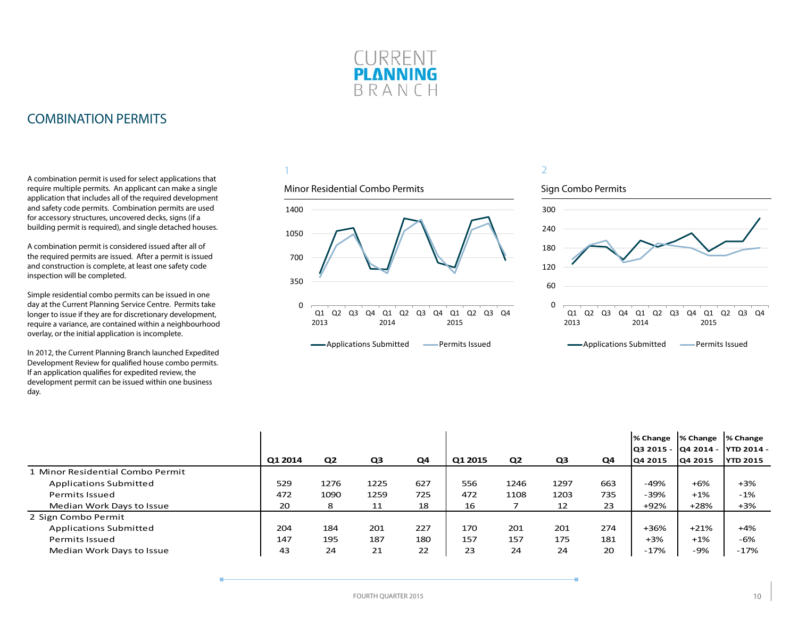

### <span id="page-9-0"></span>COMBINATION PERMITS

A combination permit is used for select applications that require multiple permits. An applicant can make a single application that includes all of the required development and safety code permits. Combination permits are used for accessory structures, uncovered decks, signs (if a building permit is required), and single detached houses.

A combination permit is considered issued after all of the required permits are issued. After a permit is issued and construction is complete, at least one safety code inspection will be completed.

Simple residential combo permits can be issued in one day at the Current Planning Service Centre. Permits take longer to issue if they are for discretionary development, require a variance, are contained within a neighbourhood overlay, or the initial application is incomplete.

In 2012, the Current Planning Branch launched Expedited Development Review for qualified house combo permits. If an application qualifies for expedited review, the development permit can be issued within one business day.

#### 1

#### Minor Residential Combo Permits





|                                  |         |      |      |     |         |                |      |     | % Change  % Change |         | % Change                         |
|----------------------------------|---------|------|------|-----|---------|----------------|------|-----|--------------------|---------|----------------------------------|
|                                  |         |      |      |     |         |                |      |     |                    |         | Q3 2015 -  Q4 2014 -  YTD 2014 - |
|                                  | Q1 2014 | Q2   | Q3   | Q4  | Q1 2015 | Q <sub>2</sub> | Q3   | Q4  | 04 2015            | Q4 2015 | <b>YTD 2015</b>                  |
| 1 Minor Residential Combo Permit |         |      |      |     |         |                |      |     |                    |         |                                  |
| <b>Applications Submitted</b>    | 529     | 1276 | 1225 | 627 | 556     | 1246           | 1297 | 663 | -49%               | $+6%$   | $+3%$                            |
| <b>Permits Issued</b>            | 472     | 1090 | 1259 | 725 | 472     | 1108           | 1203 | 735 | -39%               | $+1%$   | $-1%$                            |
| Median Work Days to Issue        | 20      | 8    | 11   | 18  | 16      |                | 12   | 23  | +92%               | $+28%$  | $+3%$                            |
| 2 Sign Combo Permit              |         |      |      |     |         |                |      |     |                    |         |                                  |
| <b>Applications Submitted</b>    | 204     | 184  | 201  | 227 | 170     | 201            | 201  | 274 | +36%               | $+21%$  | +4%                              |
| <b>Permits Issued</b>            | 147     | 195  | 187  | 180 | 157     | 157            | 175  | 181 | $+3%$              | $+1%$   | $-6%$                            |
| Median Work Days to Issue        | 43      | 24   | 21   | 22  | 23      | 24             | 24   | 20  | $-17%$             | -9%     | $-17%$                           |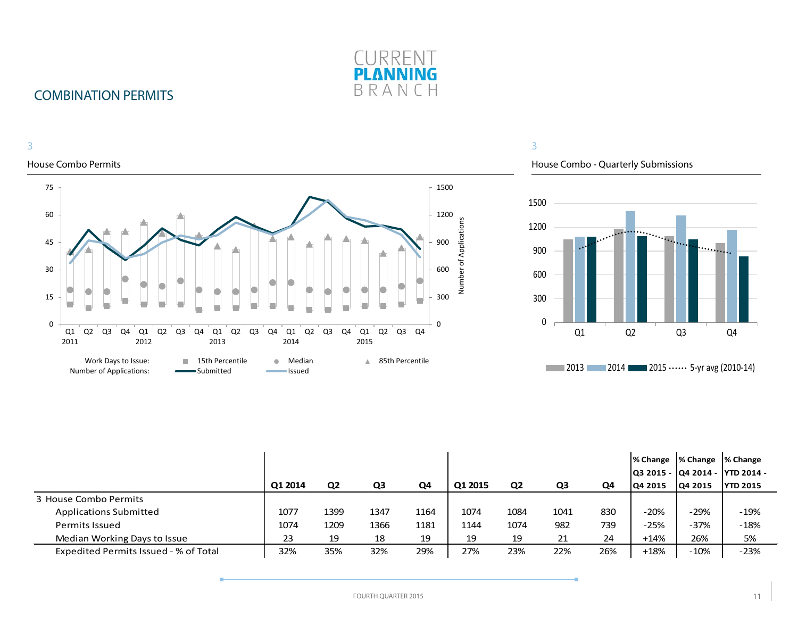

## COMBINATION PERMITS

3

#### House Combo Permits 75 1500 60 1200 Number of Applications Number of Applications 900 45 600 30 15 300 0 0 Q2 Q3 Q4 Q1 Q2 Q3 Q4 Q1 Q2 Q3 Q4 Q1 Q2 Q3 Q4 Q1 Q2 Q3 Q4 Q1 2011 2012 2013 2014 2015 Work Days to Issue: **15th Percentile 6 Median 15th Percentile** Number of Applications:Submitted **Issued**  $\overline{\phantom{0}}$

#### 3

House Combo - Quarterly Submissions



|                                       | Q1 2014 | Q <sub>2</sub> | Q3   | Q4   | Q1 2015 | Q <sub>2</sub> | Q3   | Q4  | IQ4 2015 | % Change  % Change  % Change<br>Q4 2015 | Q3 2015 -  Q4 2014 -  YTD 2014 -<br><b>YTD 2015</b> |
|---------------------------------------|---------|----------------|------|------|---------|----------------|------|-----|----------|-----------------------------------------|-----------------------------------------------------|
| 3 House Combo Permits                 |         |                |      |      |         |                |      |     |          |                                         |                                                     |
| <b>Applications Submitted</b>         | 1077    | 1399           | 1347 | 1164 | 1074    | 1084           | 1041 | 830 | $-20%$   | -29%                                    | $-19%$                                              |
| <b>Permits Issued</b>                 | 1074    | 1209           | 1366 | 1181 | 1144    | 1074           | 982  | 739 | $-25%$   | $-37%$                                  | $-18%$                                              |
| Median Working Days to Issue          | 23      | 19             | 18   | 19   | 19      | 19             | 21   | 24  | $+14%$   | 26%                                     | 5%                                                  |
| Expedited Permits Issued - % of Total | 32%     | 35%            | 32%  | 29%  | 27%     | 23%            | 22%  | 26% | $+18%$   | $-10%$                                  | $-23%$                                              |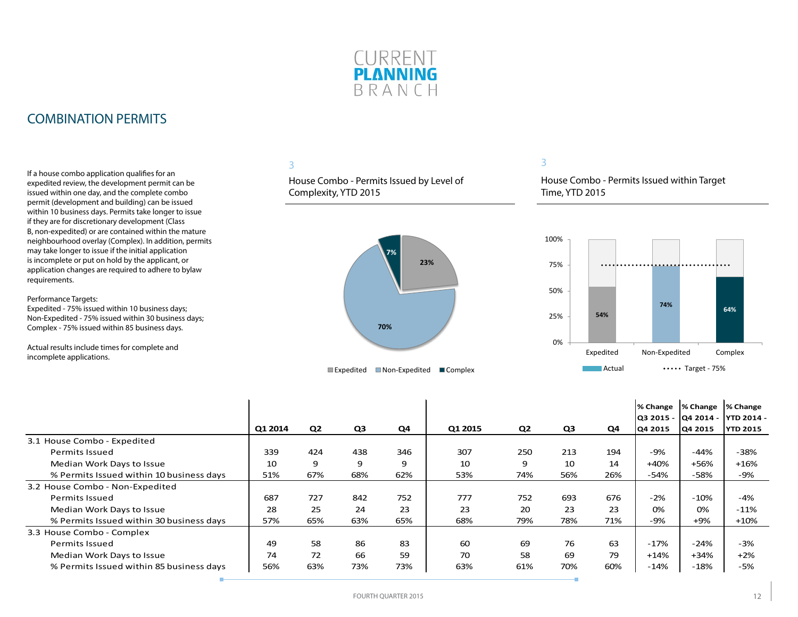

### COMBINATION PERMITS

If a house combo application qualifies for an expedited review, the development permit can be issued within one day, and the complete combo permit (development and building) can be issued within 10 business days. Permits take longer to issue if they are for discretionary development (Class B, non-expedited) or are contained within the mature neighbourhood overlay (Complex). In addition, permits may take longer to issue if the initial application is incomplete or put on hold by the applicant, or application changes are required to adhere to bylaw requirements.

Performance Targets:

Expedited - 75% issued within 10 business days; Non-Expedited - 75% issued within 30 business days; Complex - 75% issued within 85 business days.

Actual results include times for complete and incomplete applications.

#### 3

House Combo - Permits Issued by Level of Complexity, YTD 2015



#### 3

House Combo - Permits Issued within Target Time, YTD 2015



|                                          |         |     |     |     |         |     |     |     | % Change | % Change | % Change<br> Q3 2015 -  Q4 2014 -  YTD 2014 - |
|------------------------------------------|---------|-----|-----|-----|---------|-----|-----|-----|----------|----------|-----------------------------------------------|
|                                          | Q1 2014 | Q2  | Q3  | Q4  | Q1 2015 | Q2  | Q3  | Q4  | Q4 2015  | Q4 2015  | <b>YTD 2015</b>                               |
| 3.1 House Combo - Expedited              |         |     |     |     |         |     |     |     |          |          |                                               |
| <b>Permits Issued</b>                    | 339     | 424 | 438 | 346 | 307     | 250 | 213 | 194 | -9%      | $-44%$   | $-38%$                                        |
| Median Work Days to Issue                | 10      | 9   | 9   | 9   | 10      | 9   | 10  | 14  | $+40%$   | +56%     | $+16%$                                        |
| % Permits Issued within 10 business days | 51%     | 67% | 68% | 62% | 53%     | 74% | 56% | 26% | $-54%$   | -58%     | -9%                                           |
| 3.2 House Combo - Non-Expedited          |         |     |     |     |         |     |     |     |          |          |                                               |
| <b>Permits Issued</b>                    | 687     | 727 | 842 | 752 | 777     | 752 | 693 | 676 | $-2%$    | $-10%$   | -4%                                           |
| Median Work Days to Issue                | 28      | 25  | 24  | 23  | 23      | 20  | 23  | 23  | 0%       | 0%       | $-11%$                                        |
| % Permits Issued within 30 business days | 57%     | 65% | 63% | 65% | 68%     | 79% | 78% | 71% | -9%      | +9%      | $+10%$                                        |
| 3.3 House Combo - Complex                |         |     |     |     |         |     |     |     |          |          |                                               |
| Permits Issued                           | 49      | 58  | 86  | 83  | 60      | 69  | 76  | 63  | $-17%$   | $-24%$   | $-3%$                                         |
| Median Work Days to Issue                | 74      | 72  | 66  | 59  | 70      | 58  | 69  | 79  | $+14%$   | $+34%$   | $+2%$                                         |
| % Permits Issued within 85 business days | 56%     | 63% | 73% | 73% | 63%     | 61% | 70% | 60% | $-14%$   | $-18%$   | -5%                                           |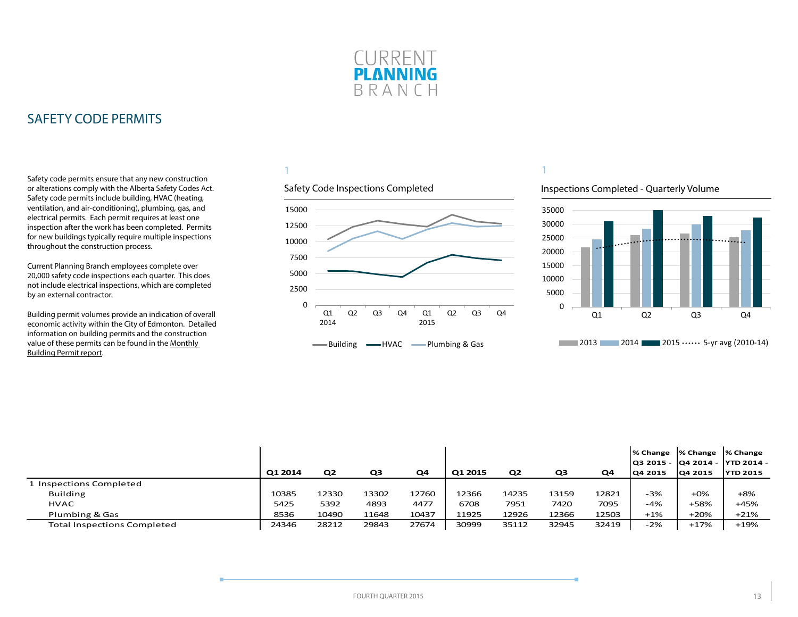

<span id="page-12-0"></span>Safety code permits ensure that any new construction or alterations comply with the Alberta Safety Codes Act. Safety code permits include building, HVAC (heating, ventilation, and air-conditioning), plumbing, gas, and electrical permits. Each permit requires at least one inspection after the work has been completed. Permits for new buildings typically require multiple inspections throughout the construction process.

Current Planning Branch employees complete over 20,000 safety code inspections each quarter. This does not include electrical inspections, which are completed by an external contractor.

Building permit volumes provide an indication of overall economic activity within the City of Edmonton. Detailed information on building permits and the construction value of these permits can be found in the [Monthly](http://www.edmonton.ca/buildingpermitreport)  [Building Permit report](http://www.edmonton.ca/buildingpermitreport).

### 1



#### Inspections Completed - Quarterly Volume



|                                    |         |                |       |       |         |                |       |       |                | % Change  % Change  % Change<br>lQ3 2015 - lQ4 2014 - lYTD 2014 - |                 |
|------------------------------------|---------|----------------|-------|-------|---------|----------------|-------|-------|----------------|-------------------------------------------------------------------|-----------------|
|                                    | Q1 2014 | Q <sub>2</sub> | Q3    | Q4    | Q1 2015 | Q <sub>2</sub> | Q3    | Q4    | <b>Q4 2015</b> | 04 2015                                                           | <b>YTD 2015</b> |
| 1 Inspections Completed            |         |                |       |       |         |                |       |       |                |                                                                   |                 |
| <b>Building</b>                    | 10385   | 12330          | 13302 | 12760 | 12366   | 14235          | 13159 | 12821 | $-3%$          | $+0\%$                                                            | $+8%$           |
| <b>HVAC</b>                        | 5425    | 5392           | 4893  | 4477  | 6708    | 7951           | 7420  | 7095  | -4%            | +58%                                                              | $+45%$          |
| Plumbing & Gas                     | 8536    | 10490          | 11648 | 10437 | 11925   | 12926          | 12366 | 12503 | $+1\%$         | $+20%$                                                            | $+21%$          |
| <b>Total Inspections Completed</b> | 24346   | 28212          | 29843 | 27674 | 30999   | 35112          | 32945 | 32419 | $-2%$          | $+17%$                                                            | $+19%$          |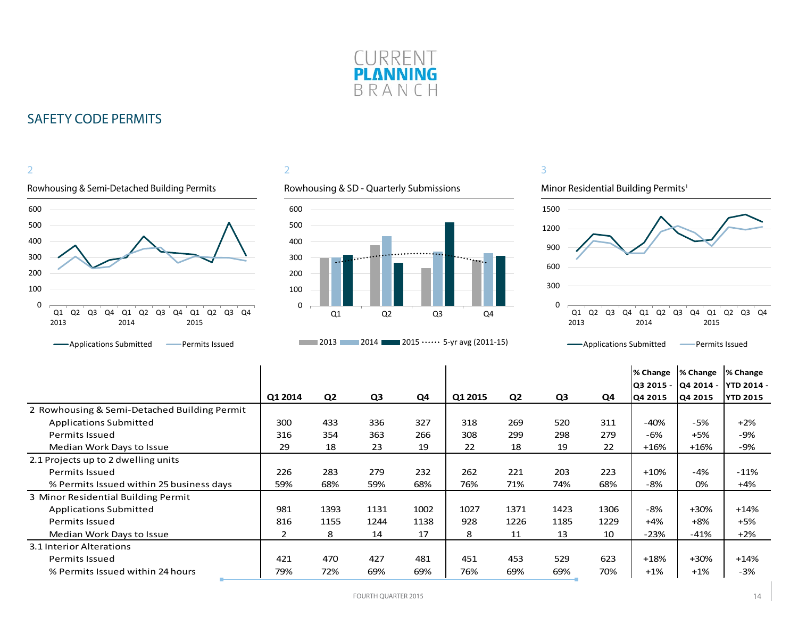

#### 2 Rowhousing & Semi-Detached Building Permits Rowhousing & SD - Quarterly Submissions 0 100 200 300 400 500 600 Q1 Q2 Q3 Q4 Q1 2013 2014 Q2 Q3 Q4 Q1 2015 Q2 Q3 Q4

#### **-**Applications Submitted **-** Permits Issued

### 2



#### **2013** 2014 2015  $\cdots$  5-yr avg (2011-15)

### 3



#### Q1 Q2 Q3 Q4 Q1 2013 2014 Q2 Q3 Q4 2015 Q2 Q3 Q4

#### **-**Applications Submitted **-** Permits Issued

|                                              |         |                |      |      |         |                |      |      | <b>% Change</b><br> Q3 2015 - | % Change<br>Q4 2014 - | % Change<br><b>YTD 2014 -</b> |
|----------------------------------------------|---------|----------------|------|------|---------|----------------|------|------|-------------------------------|-----------------------|-------------------------------|
|                                              | Q1 2014 | Q <sub>2</sub> | Q3   | Q4   | Q1 2015 | Q <sub>2</sub> | Q3   | Q4   | Q4 2015                       | Q4 2015               | <b>YTD 2015</b>               |
| 2 Rowhousing & Semi-Detached Building Permit |         |                |      |      |         |                |      |      |                               |                       |                               |
| <b>Applications Submitted</b>                | 300     | 433            | 336  | 327  | 318     | 269            | 520  | 311  | $-40%$                        | $-5%$                 | $+2%$                         |
| <b>Permits Issued</b>                        | 316     | 354            | 363  | 266  | 308     | 299            | 298  | 279  | -6%                           | $+5%$                 | -9%                           |
| Median Work Days to Issue                    | 29      | 18             | 23   | 19   | 22      | 18             | 19   | 22   | $+16%$                        | $+16%$                | $-9%$                         |
| 2.1 Projects up to 2 dwelling units          |         |                |      |      |         |                |      |      |                               |                       |                               |
| <b>Permits Issued</b>                        | 226     | 283            | 279  | 232  | 262     | 221            | 203  | 223  | $+10%$                        | $-4%$                 | $-11%$                        |
| % Permits Issued within 25 business days     | 59%     | 68%            | 59%  | 68%  | 76%     | 71%            | 74%  | 68%  | -8%                           | 0%                    | $+4%$                         |
| 3 Minor Residential Building Permit          |         |                |      |      |         |                |      |      |                               |                       |                               |
| <b>Applications Submitted</b>                | 981     | 1393           | 1131 | 1002 | 1027    | 1371           | 1423 | 1306 | $-8%$                         | $+30%$                | $+14%$                        |
| Permits Issued                               | 816     | 1155           | 1244 | 1138 | 928     | 1226           | 1185 | 1229 | $+4%$                         | $+8%$                 | $+5%$                         |
| Median Work Days to Issue                    | 2       | 8              | 14   | 17   | 8       | 11             | 13   | 10   | -23%                          | $-41%$                | $+2%$                         |
| 3.1 Interior Alterations                     |         |                |      |      |         |                |      |      |                               |                       |                               |
| <b>Permits Issued</b>                        | 421     | 470            | 427  | 481  | 451     | 453            | 529  | 623  | $+18%$                        | $+30%$                | $+14%$                        |
| % Permits Issued within 24 hours             | 79%     | 72%            | 69%  | 69%  | 76%     | 69%            | 69%  | 70%  | $+1%$                         | $+1\%$                | $-3%$                         |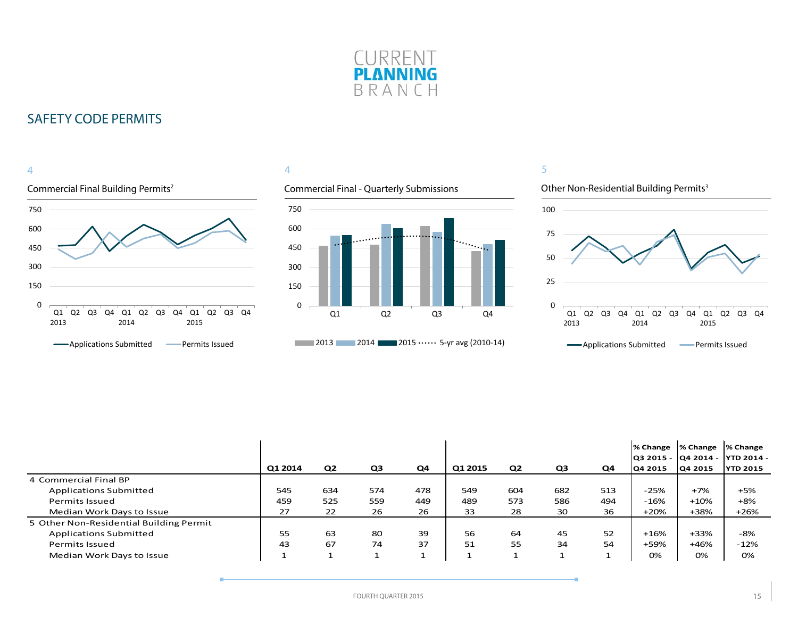

#### Commercial Final Building Permits2 4 0 150 300 450 600 750 Q1 Q2 Q3 Q4 Q1 2013 2014 Q2 Q3 Q4 Q1 2015 Q2 Q3 Q4 **-**Applications Submitted **-** Permits Issued

#### 4

#### Commercial Final - Quarterly Submissions





|                                         |         |                |                |     |         |                |     |     | % Change  % Change |                | % Change                         |
|-----------------------------------------|---------|----------------|----------------|-----|---------|----------------|-----|-----|--------------------|----------------|----------------------------------|
|                                         |         |                |                |     |         |                |     |     |                    |                | Q3 2015 -  Q4 2014 -  YTD 2014 - |
|                                         | Q1 2014 | Q <sub>2</sub> | Q <sub>3</sub> | Q4  | Q1 2015 | Q <sub>2</sub> | Q3  | Q4  | <b>Q4 2015</b>     | <b>Q4 2015</b> | <b>YTD 2015</b>                  |
| 4 Commercial Final BP                   |         |                |                |     |         |                |     |     |                    |                |                                  |
| <b>Applications Submitted</b>           | 545     | 634            | 574            | 478 | 549     | 604            | 682 | 513 | $-25%$             | $+7%$          | $+5%$                            |
| Permits Issued                          | 459     | 525            | 559            | 449 | 489     | 573            | 586 | 494 | $-16%$             | $+10%$         | $+8%$                            |
| Median Work Days to Issue               | 27      | 22             | 26             | 26  | 33      | 28             | 30  | 36  | $+20%$             | +38%           | $+26%$                           |
| 5 Other Non-Residential Building Permit |         |                |                |     |         |                |     |     |                    |                |                                  |
| <b>Applications Submitted</b>           | 55      | 63             | 80             | 39  | 56      | 64             | 45  | 52  | $+16%$             | $+33%$         | -8%                              |
| Permits Issued                          | 43      | 67             | 74             | 37  | 51      | 55             | 34  | 54  | +59%               | $+46%$         | $-12%$                           |
| Median Work Days to Issue               |         |                |                | ᅩ   | ٠       |                |     |     | 0%                 | 0%             | 0%                               |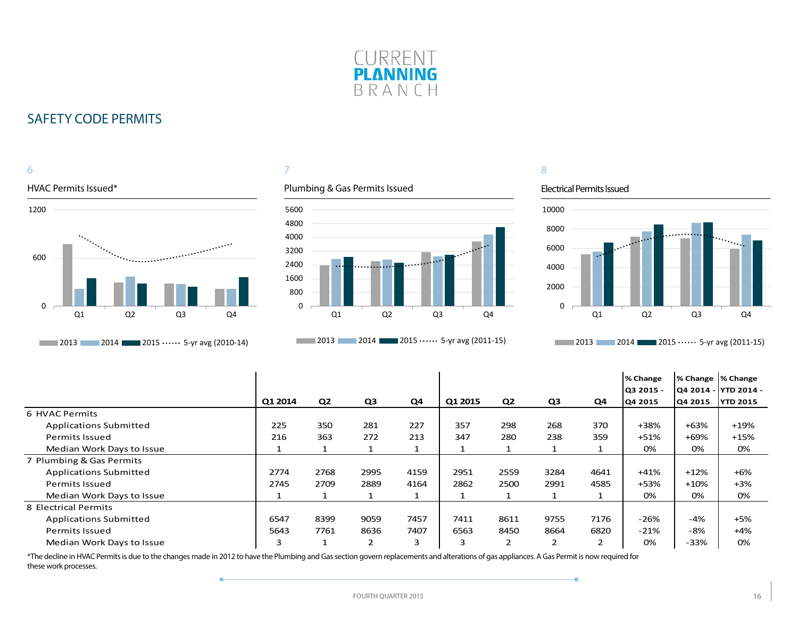



#### 7

#### Plumbing & Gas Permits Issued



**2013** 2014 **2015 ••••••** 5-yr avg (2011-15)

### 8

#### Electrical Permits Issued

÷



**2013** 2014 2015  $\cdots$  5-yr avg (2011-15)

|                               |         |                |      |      |         |                |      |      | % Change<br>Q3 2015 - | % Change  % Change | Q4 2014 -  YTD 2014 - |
|-------------------------------|---------|----------------|------|------|---------|----------------|------|------|-----------------------|--------------------|-----------------------|
|                               | Q1 2014 | Q <sub>2</sub> | Q3   | Q4   | Q1 2015 | Q <sub>2</sub> | Q3   | Q4   | Q4 2015               | Q4 2015            | <b>YTD 2015</b>       |
| 6 HVAC Permits                |         |                |      |      |         |                |      |      |                       |                    |                       |
| <b>Applications Submitted</b> | 225     | 350            | 281  | 227  | 357     | 298            | 268  | 370  | +38%                  | $+63%$             | $+19%$                |
| Permits Issued                | 216     | 363            | 272  | 213  | 347     | 280            | 238  | 359  | $+51%$                | $+69%$             | $+15%$                |
| Median Work Days to Issue     |         |                |      |      |         |                |      |      | 0%                    | 0%                 | 0%                    |
| 7 Plumbing & Gas Permits      |         |                |      |      |         |                |      |      |                       |                    |                       |
| <b>Applications Submitted</b> | 2774    | 2768           | 2995 | 4159 | 2951    | 2559           | 3284 | 4641 | $+41%$                | $+12%$             | $+6%$                 |
| <b>Permits Issued</b>         | 2745    | 2709           | 2889 | 4164 | 2862    | 2500           | 2991 | 4585 | +53%                  | $+10%$             | $+3%$                 |
| Median Work Days to Issue     |         |                |      |      |         |                |      |      | 0%                    | 0%                 | 0%                    |
| 8 Electrical Permits          |         |                |      |      |         |                |      |      |                       |                    |                       |
| <b>Applications Submitted</b> | 6547    | 8399           | 9059 | 7457 | 7411    | 8611           | 9755 | 7176 | $-26%$                | $-4%$              | $+5%$                 |
| <b>Permits Issued</b>         | 5643    | 7761           | 8636 | 7407 | 6563    | 8450           | 8664 | 6820 | $-21%$                | -8%                | $+4%$                 |
| Median Work Days to Issue     | 3       |                | 2    | 3    | 3       | 2              |      | 2    | 0%                    | $-33%$             | 0%                    |

\*The decline in HVAC Permits is due to the changes made in 2012 to have the Plumbing and Gas section govern replacements and alterations of gas appliances. A Gas Permit is now required for these work processes.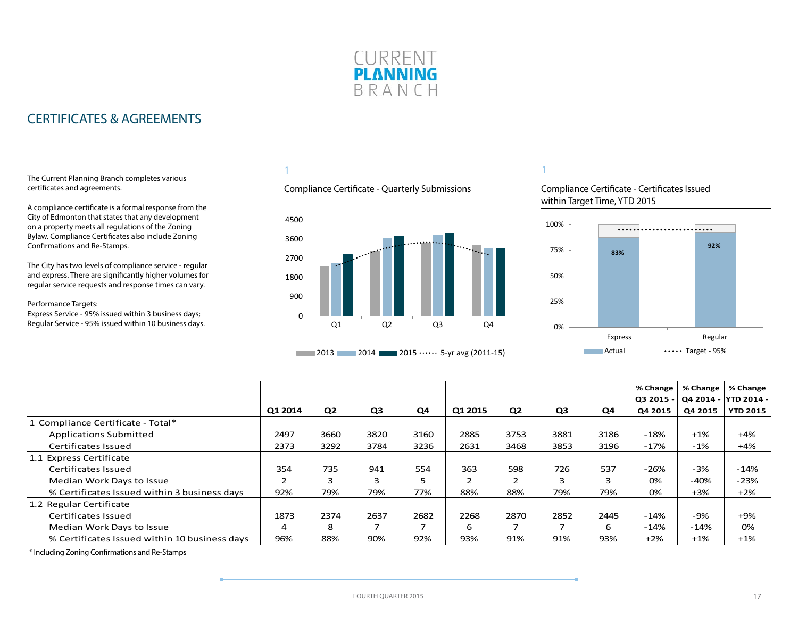

### <span id="page-16-0"></span>CERTIFICATES & AGREEMENTS

#### The Current Planning Branch completes various certificates and agreements.

A compliance certificate is a formal response from the City of Edmonton that states that any development on a property meets all regulations of the Zoning Bylaw. Compliance Certificates also include Zoning Confirmations and Re-Stamps.

The City has two levels of compliance service - regular and express. There are significantly higher volumes for regular service requests and response times can vary.

#### Performance Targets:

Express Service - 95% issued within 3 business days; Regular Service - 95% issued within 10 business days.

#### 1

#### Compliance Certificate - Quarterly Submissions





#### 1

#### Compliance Certificate - Certificates Issued within Target Time, YTD 2015



|                                               |                |                |      |      |         |                |                |      | % Change<br>Q3 2015 · |         | % Change   % Change<br>Q4 2014 - YTD 2014 - |
|-----------------------------------------------|----------------|----------------|------|------|---------|----------------|----------------|------|-----------------------|---------|---------------------------------------------|
|                                               | Q1 2014        | Q <sub>2</sub> | Q3   | Q4   | Q1 2015 | Q <sub>2</sub> | Q <sub>3</sub> | Q4   | Q4 2015               | Q4 2015 | <b>YTD 2015</b>                             |
| 1 Compliance Certificate - Total*             |                |                |      |      |         |                |                |      |                       |         |                                             |
| <b>Applications Submitted</b>                 | 2497           | 3660           | 3820 | 3160 | 2885    | 3753           | 3881           | 3186 | $-18%$                | $+1%$   | $+4%$                                       |
| Certificates Issued                           | 2373           | 3292           | 3784 | 3236 | 2631    | 3468           | 3853           | 3196 | $-17%$                | $-1%$   | $+4%$                                       |
| 1.1 Express Certificate                       |                |                |      |      |         |                |                |      |                       |         |                                             |
| Certificates Issued                           | 354            | 735            | 941  | 554  | 363     | 598            | 726            | 537  | $-26%$                | $-3%$   | $-14%$                                      |
| Median Work Days to Issue                     | $\overline{2}$ | 3              | 3    | 5    | 2       | $\overline{2}$ | 3              |      | 0%                    | $-40%$  | $-23%$                                      |
| % Certificates Issued within 3 business days  | 92%            | 79%            | 79%  | 77%  | 88%     | 88%            | 79%            | 79%  | 0%                    | $+3%$   | $+2%$                                       |
| 1.2 Regular Certificate                       |                |                |      |      |         |                |                |      |                       |         |                                             |
| Certificates Issued                           | 1873           | 2374           | 2637 | 2682 | 2268    | 2870           | 2852           | 2445 | $-14%$                | -9%     | $+9%$                                       |
| Median Work Days to Issue                     | 4              | 8              | ⇁    | ⇁    | 6       | ⇁              | ⇁              | 6    | $-14%$                | $-14%$  | 0%                                          |
| % Certificates Issued within 10 business days | 96%            | 88%            | 90%  | 92%  | 93%     | 91%            | 91%            | 93%  | $+2%$                 | $+1%$   | $+1%$                                       |

\* Including Zoning Confirmations and Re-Stamps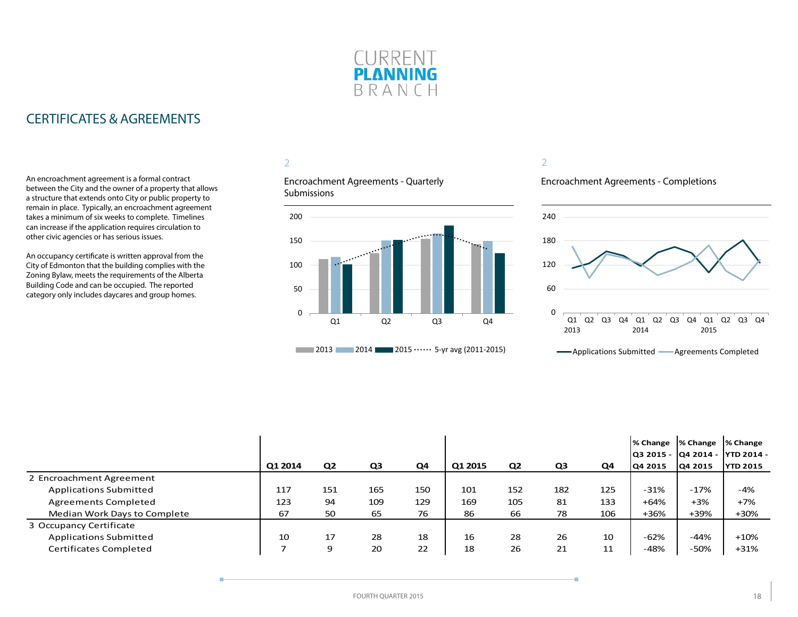

### CERTIFICATES & AGREEMENTS

An encroachment agreement is a formal contract between the City and the owner of a property that allows a structure that extends onto City or public property to remain in place. Typically, an encroachment agreement takes a minimum of six weeks to complete. Timelines can increase if the application requires circulation to other civic agencies or has serious issues.

An occupancy certificate is written approval from the City of Edmonton that the building complies with the Zoning Bylaw, meets the requirements of the Alberta Building Code and can be occupied. The reported category only includes daycares and group homes.

### 2

Encroachment Agreements - Quarterly **Submissions** 



#### 2

Encroachment Agreements - Completions



| Applications Submitted | Agreements Completed |  |
|------------------------|----------------------|--|
|------------------------|----------------------|--|

|                               |         |                |     |     |         |                |                |     | % Change  % Change |         | % Change<br> Q3 2015 -  Q4 2014 -  YTD 2014 - |
|-------------------------------|---------|----------------|-----|-----|---------|----------------|----------------|-----|--------------------|---------|-----------------------------------------------|
|                               | Q1 2014 | Q <sub>2</sub> | Q3  | Q4  | Q1 2015 | Q <sub>2</sub> | Q <sub>3</sub> | Q4  | Q4 2015            | Q4 2015 | <b>YTD 2015</b>                               |
| 2 Encroachment Agreement      |         |                |     |     |         |                |                |     |                    |         |                                               |
| Applications Submitted        | 117     | 151            | 165 | 150 | 101     | 152            | 182            | 125 | $-31%$             | $-17%$  | $-4%$                                         |
| <b>Agreements Completed</b>   | 123     | 94             | 109 | 129 | 169     | 105            | 81             | 133 | $+64%$             | $+3%$   | $+7%$                                         |
| Median Work Days to Complete  | 67      | 50             | 65  | 76  | 86      | 66             | 78             | 106 | +36%               | +39%    | +30%                                          |
| 3 Occupancy Certificate       |         |                |     |     |         |                |                |     |                    |         |                                               |
| <b>Applications Submitted</b> | 10      | 17             | 28  | 18  | 16      | 28             | 26             | 10  | $-62%$             | $-44%$  | $+10\%$                                       |
| <b>Certificates Completed</b> |         | 9              | 20  | 22  | 18      | 26             | 21             | 11  | -48%               | -50%    | $+31%$                                        |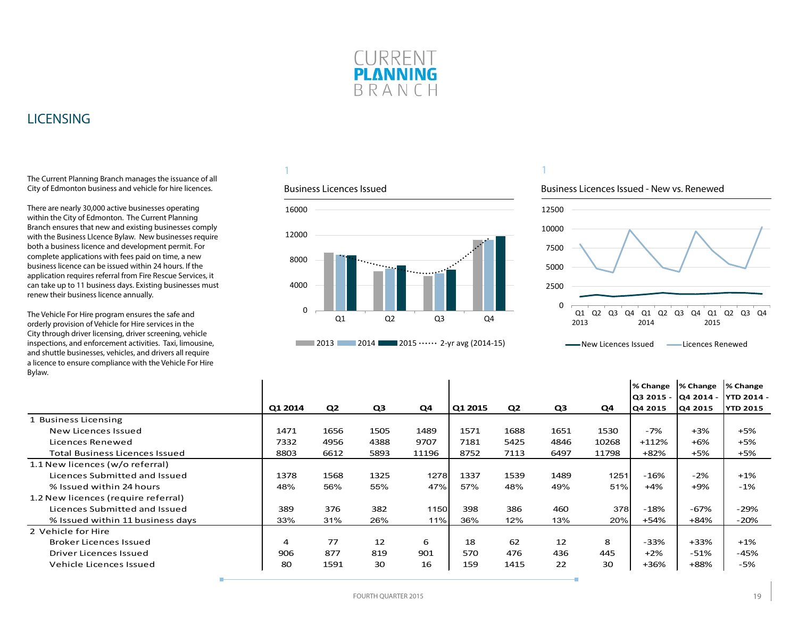

### <span id="page-18-0"></span>LICENSING

The Current Planning Branch manages the issuance of all City of Edmonton business and vehicle for hire licences.

There are nearly 30,000 active businesses operating within the City of Edmonton. The Current Planning Branch ensures that new and existing businesses comply with the Business LIcence Bylaw. New businesses require both a business licence and development permit. For complete applications with fees paid on time, a new business licence can be issued within 24 hours. If the application requires referral from Fire Rescue Services, it can take up to 11 business days. Existing businesses must renew their business licence annually.

The Vehicle For Hire program ensures the safe and orderly provision of Vehicle for Hire services in the City through driver licensing, driver screening, vehicle inspections, and enforcement activities. Taxi, limousine, and shuttle businesses, vehicles, and drivers all require a licence to ensure co Bylaw.

#### 1

#### Business Licences Issued



### 1

#### Business Licences Issued - New vs. Renewed



| a licence to ensure compliance with the Vehicle For Hire<br>Bylaw. |         |                |                |       |         |                |      |       |          |                     |                   |
|--------------------------------------------------------------------|---------|----------------|----------------|-------|---------|----------------|------|-------|----------|---------------------|-------------------|
|                                                                    |         |                |                |       |         |                |      |       | % Change | % Change            | % Change          |
|                                                                    |         |                |                |       |         |                |      |       |          | 03 2015 - 04 2014 - | <b>YTD 2014 -</b> |
|                                                                    | Q1 2014 | Q <sub>2</sub> | Q <sub>3</sub> | Q4    | Q1 2015 | Q <sub>2</sub> | Q3   | Q4    | Q4 2015  | Q4 2015             | <b>YTD 2015</b>   |
| 1 Business Licensing                                               |         |                |                |       |         |                |      |       |          |                     |                   |
| New Licences Issued                                                | 1471    | 1656           | 1505           | 1489  | 1571    | 1688           | 1651 | 1530  | $-7%$    | $+3%$               | $+5%$             |
| Licences Renewed                                                   | 7332    | 4956           | 4388           | 9707  | 7181    | 5425           | 4846 | 10268 | $+112%$  | $+6%$               | +5%               |
| <b>Total Business Licences Issued</b>                              | 8803    | 6612           | 5893           | 11196 | 8752    | 7113           | 6497 | 11798 | +82%     | $+5%$               | +5%               |
| 1.1 New licences (w/o referral)                                    |         |                |                |       |         |                |      |       |          |                     |                   |
| Licences Submitted and Issued                                      | 1378    | 1568           | 1325           | 1278  | 1337    | 1539           | 1489 | 1251  | $-16%$   | $-2%$               | $+1\%$            |
| % Issued within 24 hours                                           | 48%     | 56%            | 55%            | 47%   | 57%     | 48%            | 49%  | 51%   | $+4%$    | $+9%$               | $-1%$             |
| 1.2 New licences (require referral)                                |         |                |                |       |         |                |      |       |          |                     |                   |
| Licences Submitted and Issued                                      | 389     | 376            | 382            | 1150  | 398     | 386            | 460  | 378   | $-18%$   | $-67%$              | $-29%$            |
| % Issued within 11 business days                                   | 33%     | 31%            | 26%            | 11%   | 36%     | 12%            | 13%  | 20%   | +54%     | +84%                | $-20%$            |
| 2 Vehicle for Hire                                                 |         |                |                |       |         |                |      |       |          |                     |                   |

FOURTH QUARTER 2015 19

Broker Licences Issued | 4 77 12 6 | 18 62 12 8 | -33% | +33% | +1% Driver Licences Issued 906 877 819 901 570 476 436 445 +2% -51% -45% Vehicle Licences Issued 80 1591 30 16 159 1415 22 30 +36% +88% -5%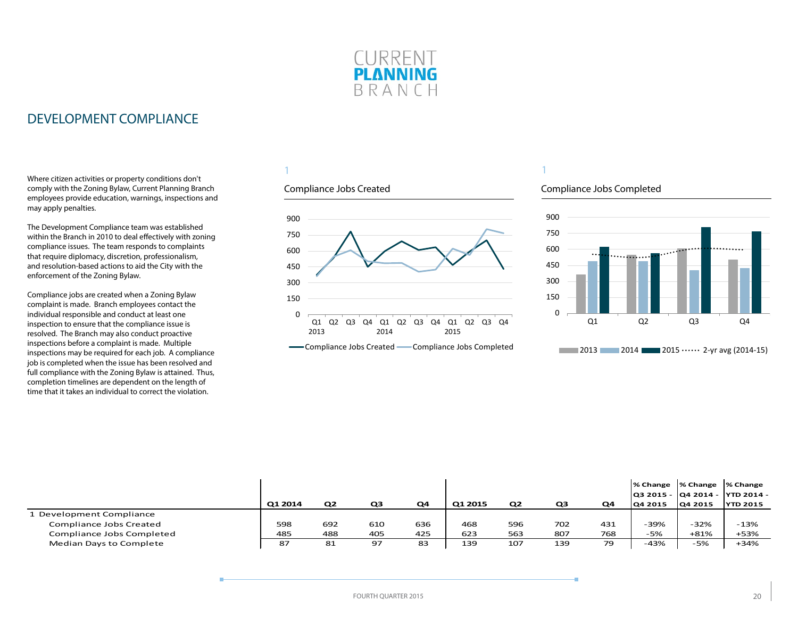

### <span id="page-19-0"></span>DEVELOPMENT COMPLIANCE

Where citizen activities or property conditions don't comply with the Zoning Bylaw, Current Planning Branch employees provide education, warnings, inspections and may apply penalties.

The Development Compliance team was established within the Branch in 2010 to deal effectively with zoning compliance issues. The team responds to complaints that require diplomacy, discretion, professionalism, and resolution-based actions to aid the City with the enforcement of the Zoning Bylaw.

Compliance jobs are created when a Zoning Bylaw complaint is made. Branch employees contact the individual responsible and conduct at least one inspection to ensure that the compliance issue is resolved. The Branch may also conduct proactive inspections before a complaint is made. Multiple inspections may be required for each job. A compliance job is completed when the issue has been resolved and full compliance with the Zoning Bylaw is attained. Thus, completion timelines are dependent on the length of time that it takes an individual to correct the violation.

#### 1

#### Compliance Jobs Created



-Compliance Jobs Created - Compliance Jobs Completed

### Compliance Jobs Completed



|                           |         |                |     |     |         |                |     |     |         | % Change  % Change  % Change | Q3 2015 -  Q4 2014 -  YTD 2014 - |
|---------------------------|---------|----------------|-----|-----|---------|----------------|-----|-----|---------|------------------------------|----------------------------------|
|                           | Q1 2014 | Q <sub>2</sub> | Q3  | Q4  | Q1 2015 | Q <sub>2</sub> | QЗ  | Q4  | Q4 2015 | Q4 2015                      | <b>YTD 2015</b>                  |
| Development Compliance    |         |                |     |     |         |                |     |     |         |                              |                                  |
| Compliance Jobs Created   | 598     | 692            | 610 | 636 | 468     | 596            | 702 | 431 | -39%    | $-32%$                       | $-13%$                           |
| Compliance Jobs Completed | 485     | 488            | 405 | 425 | 623     | 563            | 807 | 768 | -5%     | $+81%$                       | +53%                             |
| Median Days to Complete   | 87      | 81             | 97  | 83  | 139     | 107            | 139 | 79  | $-43%$  | -5%                          | $+34%$                           |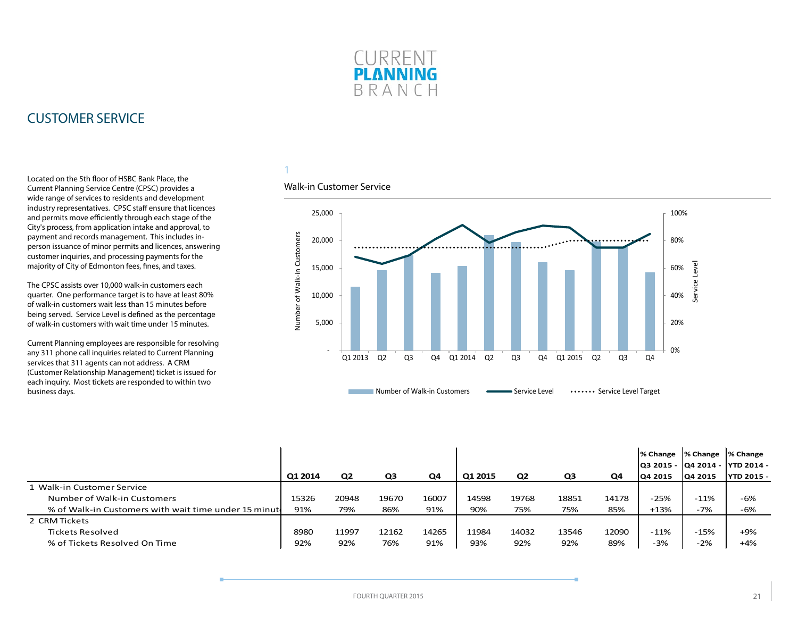

### <span id="page-20-0"></span>CUSTOMER SERVICE

Located on the 5th floor of HSBC Bank Place, the Current Planning Service Centre (CPSC) provides a wide range of services to residents and development industry representatives. CPSC staff ensure that licences and permits move efficiently through each stage of the City's process, from application intake and approval, to payment and records management. This includes inperson issuance of minor permits and licences, answering customer inquiries, and processing payments for the majority of City of Edmonton fees, fines, and taxes.

The CPSC assists over 10,000 walk-in customers each quarter. One performance target is to have at least 80% of walk-in customers wait less than 15 minutes before being served. Service Level is defined as the percentage of walk-in customers with wait time under 15 minutes.

Current Planning employees are responsible for resolving any 311 phone call inquiries related to Current Planning services that 311 agents can not address. A CRM (Customer Relationship Management) ticket is issued for each inquiry. Most tickets are responded to within two business days.

### 1

#### Walk-in Customer Service



|                                                       |         |                |       |       |         |                |       |       | l% Change                          | % Change              | % Change                                |
|-------------------------------------------------------|---------|----------------|-------|-------|---------|----------------|-------|-------|------------------------------------|-----------------------|-----------------------------------------|
|                                                       | Q1 2014 | Q <sub>2</sub> | Q3    | Q4    | Q1 2015 | Q <sub>2</sub> | Q3    | Q4    | <b>Q3 2015 -</b><br><b>O4 2015</b> | lQ4 2014 -<br>04 2015 | <b>YTD 2014 -</b><br><b>IYTD 2015 -</b> |
| 1 Walk-in Customer Service                            |         |                |       |       |         |                |       |       |                                    |                       |                                         |
| Number of Walk-in Customers                           | 15326   | 20948          | 19670 | 16007 | 14598   | 19768          | 18851 | 14178 | -25%                               | $-11%$                | -6%                                     |
| % of Walk-in Customers with wait time under 15 minute | 91%     | 79%            | 86%   | 91%   | 90%     | 75%            | 75%   | 85%   | $+13%$                             | -7%                   | -6%                                     |
| 2 CRM Tickets                                         |         |                |       |       |         |                |       |       |                                    |                       |                                         |
| Tickets Resolved                                      | 8980    | 11997          | 12162 | 14265 | 11984   | 14032          | 13546 | 12090 | $-11%$                             | $-15%$                | $+9%$                                   |
| % of Tickets Resolved On Time                         | 92%     | 92%            | 76%   | 91%   | 93%     | 92%            | 92%   | 89%   | -3%                                | $-2%$                 | $+4%$                                   |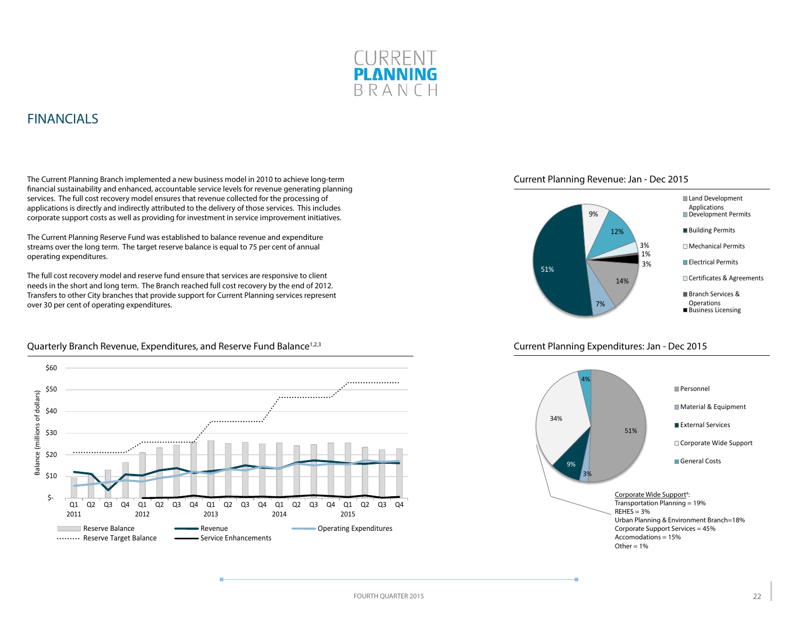

### <span id="page-21-0"></span>FINANCIALS

The Current Planning Branch implemented a new business model in 2010 to achieve long-term financial sustainability and enhanced, accountable service levels for revenue generating planning services. The full cost recovery model ensures that revenue collected for the processing of applications is directly and indirectly attributed to the delivery of those services. This includes corporate support costs as well as providing for investment in service improvement initiatives.

The Current Planning Reserve Fund was established to balance revenue and expenditure streams over the long term. The target reserve balance is equal to 75 per cent of annual operating expenditures.

The full cost recovery model and reserve fund ensure that services are responsive to client needs in the short and long term. The Branch reached full cost recovery by the end of 2012. Transfers to other City branches that provide support for Current Planning services represent over 30 per cent of operating expenditures.



#### Quarterly Branch Revenue, Expenditures, and Reserve Fund Balance<sup>1,2,3</sup>





#### Current Planning Expenditures: Jan - Dec 2015